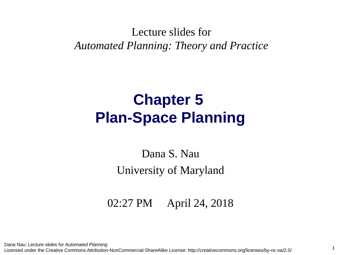#### Lecture slides for *Automated Planning: Theory and Practice*

#### **Chapter 5 Plan-Space Planning**

#### Dana S. Nau University of Maryland

02:27 PM April 24, 2018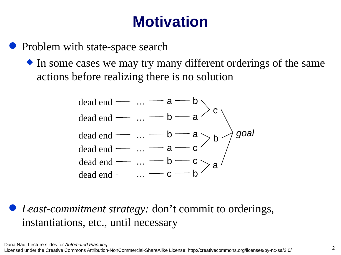#### **Motivation**

- Problem with state-space search
	- $\bullet$  In some cases we may try many different orderings of the same actions before realizing there is no solution



 *Least-commitment strategy:* don't commit to orderings, instantiations, etc., until necessary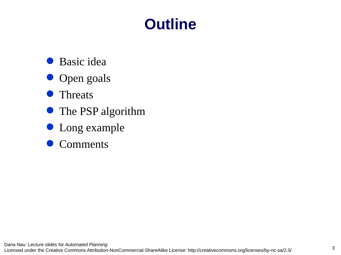#### **Outline**

- Basic idea
- Open goals
- Threats
- The PSP algorithm
- Long example
- Comments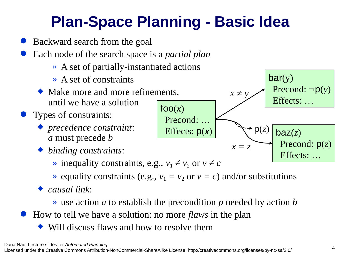#### **Plan-Space Planning - Basic Idea**

- Backward search from the goal
- Each node of the search space is a *partial plan*
	- » A set of partially-instantiated actions
	- » A set of constraints
	- Make more and more refinements, until we have a solution
- Types of constraints:
	- *precedence constraint*: *a* must precede *b*
	- *binding constraints*:
		- <u>≫</u> inequality constraints, e.g.,  $v_1 \neq v_2$  or  $v \neq c$
		- $\rightarrow$  equality constraints (e.g.,  $v_1 = v_2$  or  $v = c$ ) and/or substitutions
	- *causal link*:
		- » use action *a* to establish the precondition *p* needed by action *b*
- How to tell we have a solution: no more *flaws* in the plan
	- Will discuss flaws and how to resolve them



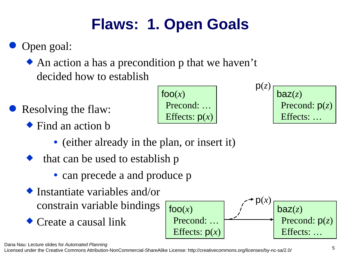## **Flaws: 1. Open Goals**

#### Open goal:

◆ An action a has a precondition p that we haven't decided how to establish

- Resolving the flaw:
	- Find an action b

 $fOO(x)$ Precond: … Effects: p(*x*)

$$
p(z)
$$
\n

| $p(z)$          |
|-----------------|
| Precond: $p(z)$ |
| Effects: ...    |

- (either already in the plan, or insert it)
- that can be used to establish p
	- can precede a and produce p
- Instantiate variables and/or constrain variable bindings
- Create a causal link



Dana Nau: Lecture slides for *Automated Planning*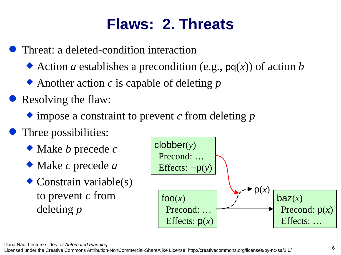#### **Flaws: 2. Threats**

Threat: a deleted-condition interaction

- ◆ Action *a* establishes a precondition (e.g., pq(*x*)) of action *b*
- ◆ Another action *c* is capable of deleting *p*
- Resolving the flaw:
	- impose a constraint to prevent *c* from deleting *p*
- Three possibilities:
	- Make *b* precede *c*
	- Make *c* precede *a*
	- ◆ Constrain variable(s) to prevent *c* from deleting *p*

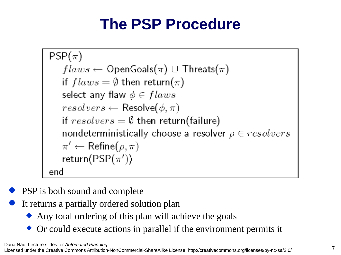# **The PSP Procedure**

```
PSP(\pi)flaws \leftarrow OpenGoals(\pi) \cup Threats(\pi)if flaws = \emptyset then return(\pi)select any flaw \phi \in flawsresolvers \leftarrow \text{Resolve}(\phi, \pi)if resolvers = \emptyset then return(failure)
   nondeterministically choose a resolver \rho \in resolvers\pi' \leftarrow \mathsf{Refine}(\rho, \pi)return(PSP(\pi'))
end
```
- PSP is both sound and complete
- It returns a partially ordered solution plan
	- Any total ordering of this plan will achieve the goals
	- Or could execute actions in parallel if the environment permits it

Dana Nau: Lecture slides for *Automated Planning*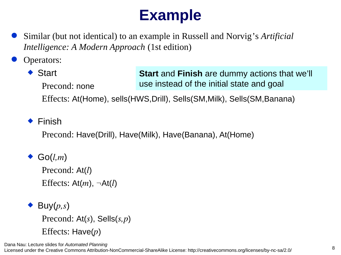### **Example**

- Similar (but not identical) to an example in Russell and Norvig's *Artificial Intelligence: A Modern Approach* (1st edition)
- Operators:
	- ◆ Start Precond: none **Start** and **Finish** are dummy actions that we'll use instead of the initial state and goal

Effects: At(Home), sells(HWS,Drill), Sells(SM,Milk), Sells(SM,Banana)

 $\triangle$  Finish

Precond: Have(Drill), Have(Milk), Have(Banana), At(Home)

- Go(*l,m*) Precond: At(*l*) Effects:  $At(m)$ ,  $\neg At(l)$
- $\blacktriangleright$  Buy( $p,s$ ) Precond: At(*s*), Sells(*s,p*) Effects: Have(*p*)

Dana Nau: Lecture slides for *Automated Planning*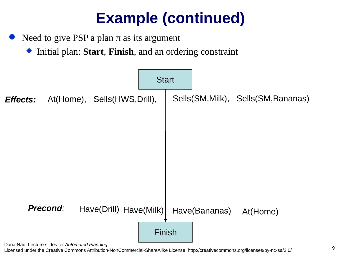Need to give PSP a plan  $π$  as its argument

Initial plan: **Start**, **Finish**, and an ordering constraint



Dana Nau: Lecture slides for *Automated Planning*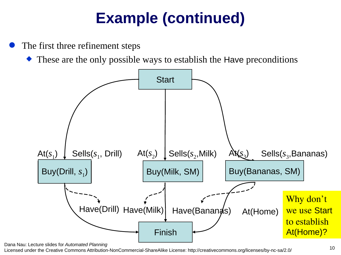The first three refinement steps

These are the only possible ways to establish the Have preconditions



Dana Nau: Lecture slides for *Automated Planning*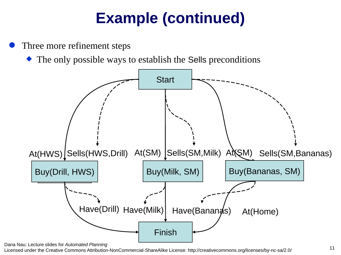Three more refinement steps

The only possible ways to establish the Sells preconditions



Dana Nau: Lecture slides for *Automated Planning*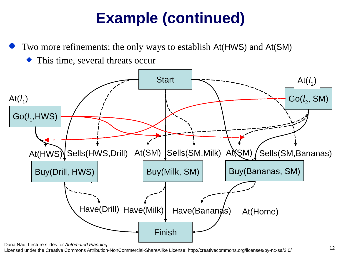Two more refinements: the only ways to establish At(HWS) and At(SM)

This time, several threats occur



Dana Nau: Lecture slides for *Automated Planning*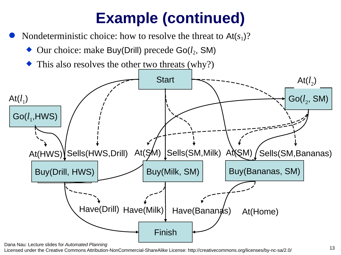- Nondeterministic choice: how to resolve the threat to  $At(s<sub>1</sub>)$ ?
	- Our choice: make Buy(Drill) precede Go(*l*<sub>2</sub>, SM)
	- This also resolves the other two threats (why?)



Dana Nau: Lecture slides for *Automated Planning*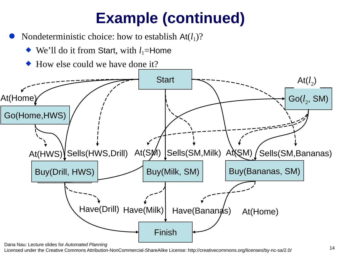- Nondeterministic choice: how to establish  $At(I<sub>1</sub>)$ ?
	- ◆ We'll do it from Start, with *l*<sub>1</sub>=Home
	- How else could we have done it?

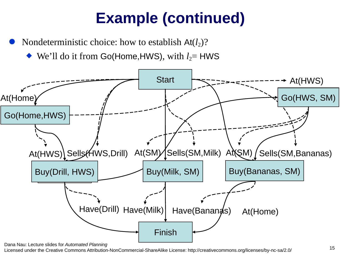Nondeterministic choice: how to establish  $At(l<sub>2</sub>)$ ?

 $\blacklozenge$  We'll do it from Go(Home,HWS), with  $l_2$ = HWS



Dana Nau: Lecture slides for *Automated Planning*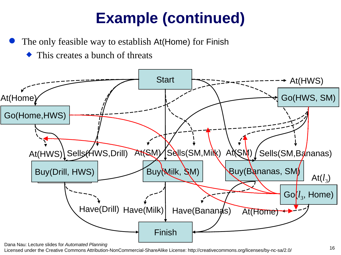- The only feasible way to establish At(Home) for Finish
	- This creates a bunch of threats



Dana Nau: Lecture slides for *Automated Planning*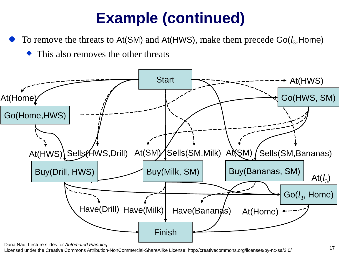To remove the threats to  $At(SM)$  and  $At(HWS)$ , make them precede  $Go(I_3,Home)$ 

This also removes the other threats



Dana Nau: Lecture slides for *Automated Planning*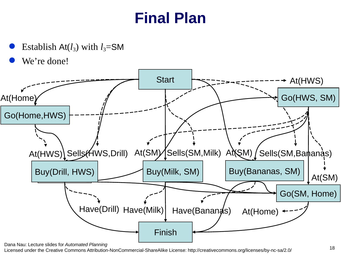#### **Final Plan**

- Establish  $At(l_3)$  with  $l_3$ =SM
- We're done!



Dana Nau: Lecture slides for *Automated Planning*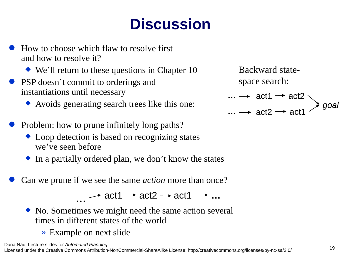## **Discussion**

- How to choose which flaw to resolve first and how to resolve it?
	- ◆ We'll return to these questions in Chapter 10
- PSP doesn't commit to orderings and instantiations until necessary
	- Avoids generating search trees like this one:
- Problem: how to prune infinitely long paths?
	- ◆ Loop detection is based on recognizing states we've seen before
	- $\bullet$  In a partially ordered plan, we don't know the states
- Can we prune if we see the same *action* more than once?

• • • act1  $\rightarrow$  act2  $\rightarrow$  act1  $\rightarrow$  ...

- No. Sometimes we might need the same action several times in different states of the world
	- » Example on next slide

act1  $\rightarrow$  act2 *goal* act2  $\rightarrow$  act1 **… …** Backward statespace search: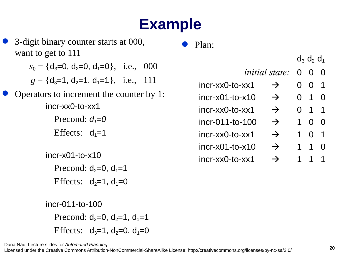## **Example**

|                            | 3-digit binary counter starts at 000,               |  | Plan:                         |               |                   |                |           |
|----------------------------|-----------------------------------------------------|--|-------------------------------|---------------|-------------------|----------------|-----------|
|                            | want to get to 111                                  |  |                               |               | $d_3$ $d_2$ $d_1$ |                |           |
|                            | $s_0 = \{d_3=0, d_2=0, d_1=0\}, \text{ i.e., } 000$ |  | <i>initial state:</i> 0 0 0   |               |                   |                |           |
|                            | $q = \{d_3=1, d_2=1, d_1=1\}, \text{ i.e., } 111$   |  | incr-xx0-to-xx1               | $\rightarrow$ | $\overline{0}$    | 0 <sub>1</sub> |           |
|                            | Operators to increment the counter by 1:            |  | $incr-x01-to-x10$             | $\rightarrow$ |                   | $0$ 1 0        |           |
|                            | incr-xx0-to-xx1                                     |  | incr-xx0-to-xx1               | $\rightarrow$ |                   | $0$ 1 1        |           |
|                            | Precond: $d_1=0$                                    |  | incr-011-to-100               | $\rightarrow$ | $\mathbf{1}$      | 0 <sub>0</sub> |           |
|                            | Effects: $d_1=1$                                    |  | incr-xx0-to-xx1               | $\rightarrow$ | $\mathbf{1}$      | 0 <sub>1</sub> |           |
|                            |                                                     |  | $incr$ - $x01$ - $to$ - $x10$ | $\rightarrow$ | $\mathbf{1}$      | $1\quad$ 0     |           |
|                            | $incr-x01-to-x10$                                   |  | incr-xx0-to-xx1               | $\rightarrow$ | $\mathbf{1}$      |                | $1\quad1$ |
| Precond: $d_2=0$ , $d_1=1$ |                                                     |  |                               |               |                   |                |           |
|                            | Effects: $d_2=1$ , $d_1=0$                          |  |                               |               |                   |                |           |
|                            | incr-011-to-100                                     |  |                               |               |                   |                |           |
|                            | Precond: $d_3=0$ , $d_2=1$ , $d_1=1$                |  |                               |               |                   |                |           |
|                            | Effects: $d_3=1$ , $d_2=0$ , $d_1=0$                |  |                               |               |                   |                |           |

Licensed under the Creative Commons Attribution-NonCommercial-ShareAlike License: http://creativecommons.org/licenses/by-nc-sa/2.0/ <sup>20</sup>